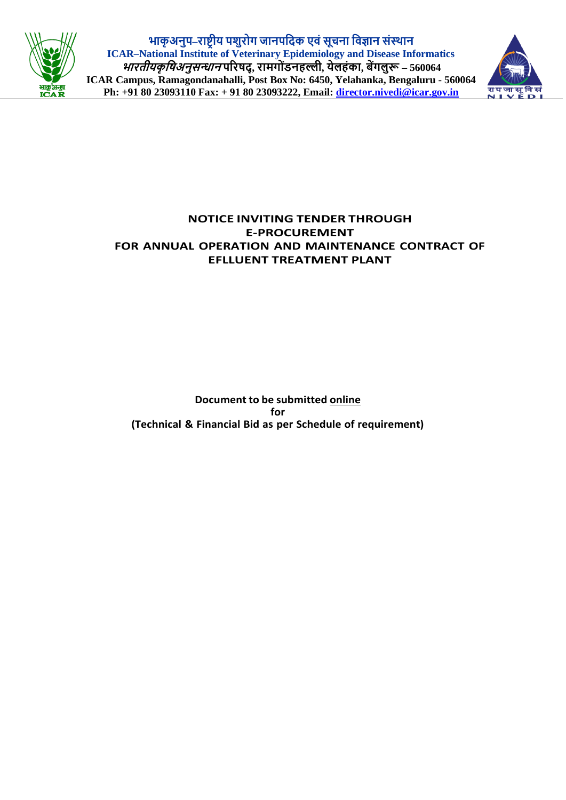

**भाकृ अनुप–राष्ट्रीय पशुरोग जानपदिक एवंसूचना दवज्ञान संस्थान ICAR–National Institute of Veterinary Epidemiology and Disease Informatics भारतीयकृ दिअनुसन्धान पररिि्, रामगो ंडनहल्ली, येलहंका, बेंगलुरू – 560064 ICAR Campus, Ramagondanahalli, Post Box No: 6450, Yelahanka, Bengaluru - 560064 Ph: +91 80 23093110 Fax: + 91 80 23093222, Email: [director.nivedi@icar.gov.in](mailto:director.nivedi@icar.gov.in)**



## **NOTICE INVITING TENDER THROUGH E-PROCUREMENT FOR ANNUAL OPERATION AND MAINTENANCE CONTRACT OF EFLLUENT TREATMENT PLANT**

**Document to be submitted online for (Technical & Financial Bid as per Schedule of requirement)**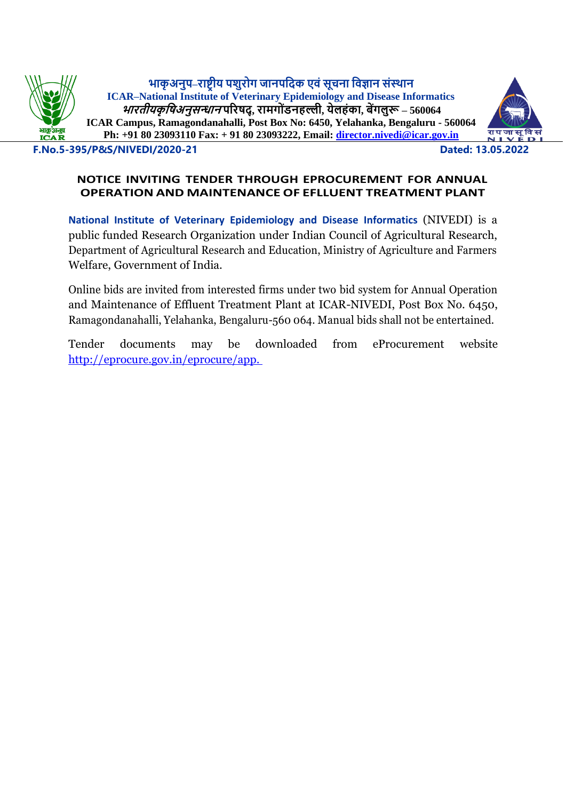**भाकृ अनुप–राष्ट्रीय पशुरोग जानपदिक एवंसूचना दवज्ञान संस्थान ICAR–National Institute of Veterinary Epidemiology and Disease Informatics भारतीयकृ दिअनुसन्धान पररिि्, रामगो ंडनहल्ली, येलहंका, बेंगलुरू – 560064 ICAR Campus, Ramagondanahalli, Post Box No: 6450, Yelahanka, Bengaluru - 560064 Ph: +91 80 23093110 Fax: + 91 80 23093222, Email: [director.nivedi@icar.gov.in](mailto:director.nivedi@icar.gov.in)**



**F.No.5-395/P&S/NIVEDI/2020-21 Dated: 13.05.2022**

## **NOTICE INVITING TENDER THROUGH EPROCUREMENT FOR ANNUAL OPERATION AND MAINTENANCE OF EFLLUENT TREATMENT PLANT**

**National Institute of Veterinary Epidemiology and Disease Informatics** (NIVEDI) is a public funded Research Organization under Indian Council of Agricultural Research, Department of Agricultural Research and Education, Ministry of Agriculture and Farmers Welfare, Government of India.

Online bids are invited from interested firms under two bid system for Annual Operation and Maintenance of Effluent Treatment Plant at ICAR-NIVEDI, Post Box No. 6450, Ramagondanahalli, Yelahanka, Bengaluru-560 064. Manual bids shall not be entertained.

Tender documents may be downloaded from eProcurement website <http://eprocure.gov.in/eprocure/app.>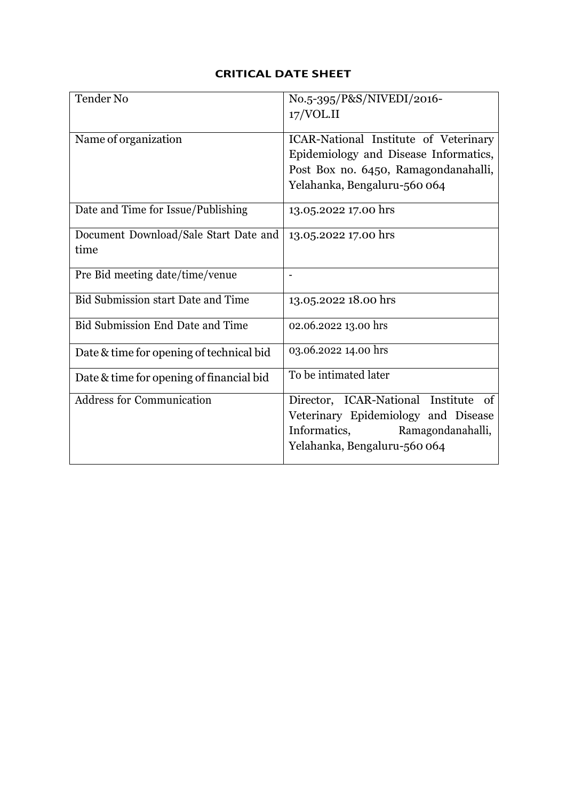## **CRITICAL DATE SHEET**

| Tender No                                 | No.5-395/P&S/NIVEDI/2016-               |
|-------------------------------------------|-----------------------------------------|
|                                           | 17/VOL <sub>II</sub>                    |
|                                           |                                         |
| Name of organization                      | ICAR-National Institute of Veterinary   |
|                                           | Epidemiology and Disease Informatics,   |
|                                           | Post Box no. 6450, Ramagondanahalli,    |
|                                           | Yelahanka, Bengaluru-560 064            |
| Date and Time for Issue/Publishing        | 13.05.2022 17.00 hrs                    |
| Document Download/Sale Start Date and     | 13.05.2022 17.00 hrs                    |
| time                                      |                                         |
| Pre Bid meeting date/time/venue           |                                         |
| <b>Bid Submission start Date and Time</b> | 13.05.2022 18.00 hrs                    |
| Bid Submission End Date and Time          | 02.06.2022 13.00 hrs                    |
| Date & time for opening of technical bid  | 03.06.2022 14.00 hrs                    |
| Date & time for opening of financial bid  | To be intimated later                   |
| <b>Address for Communication</b>          | Director, ICAR-National Institute<br>of |
|                                           | Veterinary Epidemiology and Disease     |
|                                           | Informatics,<br>Ramagondanahalli,       |
|                                           | Yelahanka, Bengaluru-560 064            |
|                                           |                                         |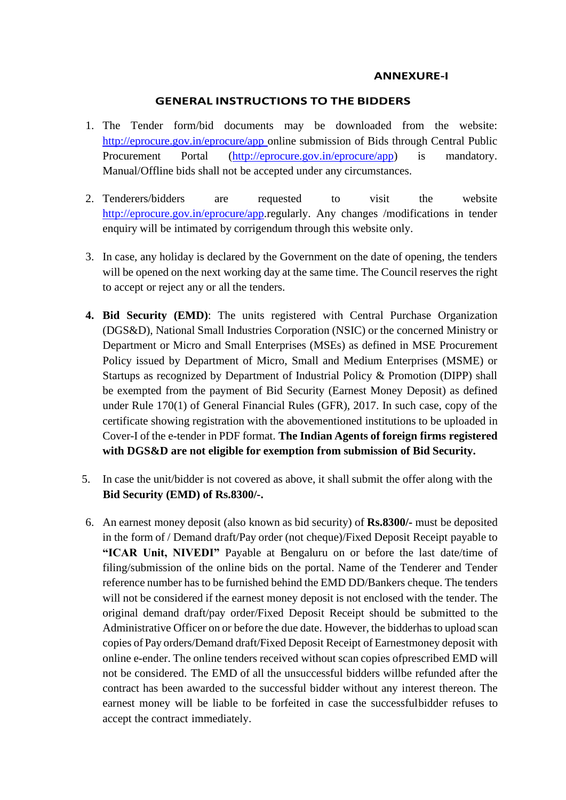#### **ANNEXURE-I**

#### **GENERAL INSTRUCTIONS TO THE BIDDERS**

- 1. The Tender form/bid documents may be downloaded from the website: [http://eprocure.gov.in/eprocure/app o](http://eprocure.gov.in/eprocure/app)nline submission of Bids through Central Public Procurement Portal [\(http://eprocure.gov.in/eprocure/app\)](http://eprocure.gov.in/eprocure/app) is mandatory. Manual/Offline bids shall not be accepted under any circumstances.
- 2. Tenderers/bidders are requested to visit the website [http://eprocure.gov.in/eprocure/app.](http://eprocure.gov.in/eprocure/app)regularly. Any changes /modifications in tender enquiry will be intimated by corrigendum through this website only.
- 3. In case, any holiday is declared by the Government on the date of opening, the tenders will be opened on the next working day at the same time. The Council reserves the right to accept or reject any or all the tenders.
- **4. Bid Security (EMD)**: The units registered with Central Purchase Organization (DGS&D), National Small Industries Corporation (NSIC) or the concerned Ministry or Department or Micro and Small Enterprises (MSEs) as defined in MSE Procurement Policy issued by Department of Micro, Small and Medium Enterprises (MSME) or Startups as recognized by Department of Industrial Policy & Promotion (DIPP) shall be exempted from the payment of Bid Security (Earnest Money Deposit) as defined under Rule 170(1) of General Financial Rules (GFR), 2017. In such case, copy of the certificate showing registration with the abovementioned institutions to be uploaded in Cover-I of the e-tender in PDF format. **The Indian Agents of foreign firms registered with DGS&D are not eligible for exemption from submission of Bid Security.**
- 5. In case the unit/bidder is not covered as above, it shall submit the offer along with the **Bid Security (EMD) of Rs.8300/-.**
- 6. An earnest money deposit (also known as bid security) of **Rs.8300/-** must be deposited in the form of / Demand draft/Pay order (not cheque)/Fixed Deposit Receipt payable to **"ICAR Unit, NIVEDI"** Payable at Bengaluru on or before the last date/time of filing/submission of the online bids on the portal. Name of the Tenderer and Tender reference number has to be furnished behind the EMD DD/Bankers cheque. The tenders will not be considered if the earnest money deposit is not enclosed with the tender. The original demand draft/pay order/Fixed Deposit Receipt should be submitted to the Administrative Officer on or before the due date. However, the bidderhas to upload scan copies of Pay orders/Demand draft/Fixed Deposit Receipt of Earnestmoney deposit with online e-ender. The online tenders received without scan copies ofprescribed EMD will not be considered. The EMD of all the unsuccessful bidders willbe refunded after the contract has been awarded to the successful bidder without any interest thereon. The earnest money will be liable to be forfeited in case the successfulbidder refuses to accept the contract immediately.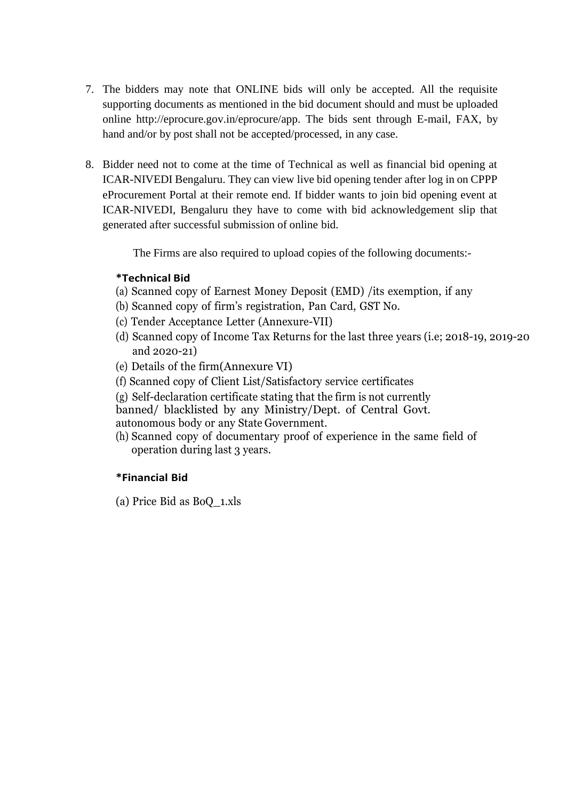- 7. The bidders may note that ONLINE bids will only be accepted. All the requisite supporting documents as mentioned in the bid document should and must be uploaded online [http://eprocure.gov.in/eprocure/app.](http://eprocure.gov.in/eprocure/app) The bids sent through E-mail, FAX, by hand and/or by post shall not be accepted/processed, in any case.
- 8. Bidder need not to come at the time of Technical as well as financial bid opening at ICAR-NIVEDI Bengaluru. They can view live bid opening tender after log in on CPPP eProcurement Portal at their remote end. If bidder wants to join bid opening event at ICAR-NIVEDI, Bengaluru they have to come with bid acknowledgement slip that generated after successful submission of online bid.

The Firms are also required to upload copies of the following documents:-

### **\*Technical Bid**

- (a) Scanned copy of Earnest Money Deposit (EMD) /its exemption, if any
- (b) Scanned copy of firm's registration, Pan Card, GST No.
- (c) Tender Acceptance Letter (Annexure-VII)
- (d) Scanned copy of Income Tax Returns for the last three years (i.e; 2018-19, 2019-20 and 2020-21)
- (e) Details of the firm(Annexure VI)
- (f) Scanned copy of Client List/Satisfactory service certificates
- (g) Self-declaration certificate stating that the firm is not currently
- banned/ blacklisted by any Ministry/Dept. of Central Govt. autonomous body or any State Government.
- (h) Scanned copy of documentary proof of experience in the same field of operation during last 3 years.

## **\*Financial Bid**

(a) Price Bid as BoQ\_1.xls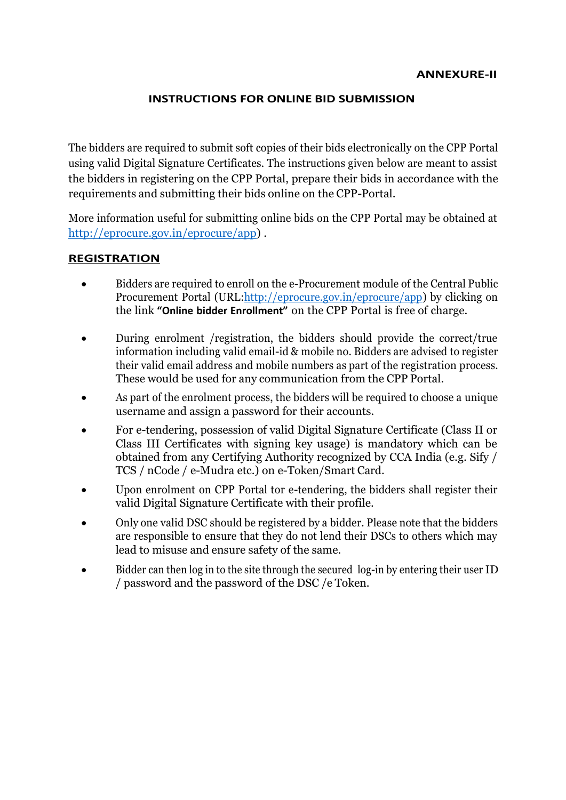#### **INSTRUCTIONS FOR ONLINE BID SUBMISSION**

The bidders are required to submit soft copies of their bids electronically on the CPP Portal using valid Digital Signature Certificates. The instructions given below are meant to assist the bidders in registering on the CPP Portal, prepare their bids in accordance with the requirements and submitting their bids online on the CPP-Portal.

More information useful for submitting online bids on the CPP Portal may be obtained at [http://eprocure.gov.in/eprocure/app\)](http://eprocure.gov.in/eprocure/app) .

### **REGISTRATION**

- Bidders are required to enroll on the e-Procurement module of the Central Public Procurement Portal (UR[L:http://eprocure.gov.in/eprocure/app\)](http://eprocure.gov.in/eprocure/app) by clicking on the link **"Online bidder Enrollment"** on the CPP Portal is free of charge.
- During enrolment /registration, the bidders should provide the correct/true information including valid email-id & mobile no. Bidders are advised to register their valid email address and mobile numbers as part of the registration process. These would be used for any communication from the CPP Portal.
- As part of the enrolment process, the bidders will be required to choose a unique username and assign a password for their accounts.
- For e-tendering, possession of valid Digital Signature Certificate (Class II or Class III Certificates with signing key usage) is mandatory which can be obtained from any Certifying Authority recognized by CCA India (e.g. Sify / TCS / nCode / e-Mudra etc.) on e-Token/Smart Card.
- Upon enrolment on CPP Portal tor e-tendering, the bidders shall register their valid Digital Signature Certificate with their profile.
- Only one valid DSC should be registered by a bidder. Please note that the bidders are responsible to ensure that they do not lend their DSCs to others which may lead to misuse and ensure safety of the same.
- Bidder can then log in to the site through the secured log-in by entering their user ID / password and the password of the DSC /e Token.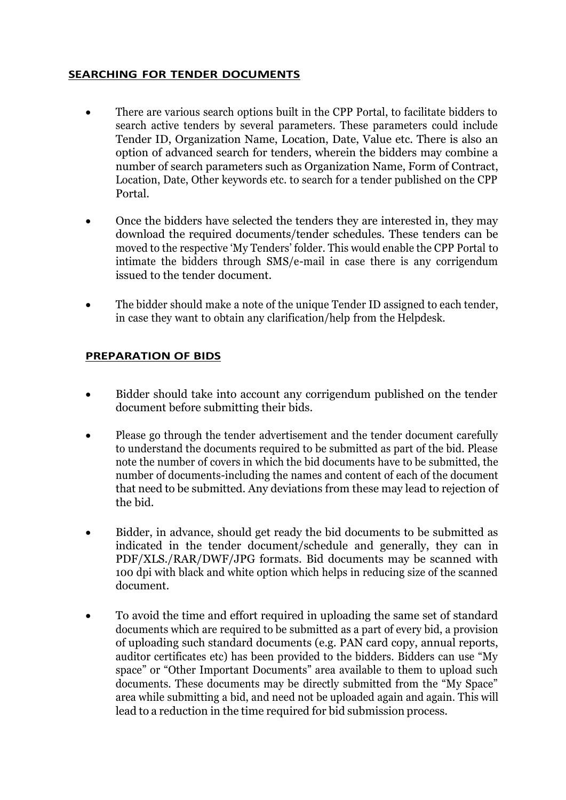## **SEARCHING FOR TENDER DOCUMENTS**

- There are various search options built in the CPP Portal, to facilitate bidders to search active tenders by several parameters. These parameters could include Tender ID, Organization Name, Location, Date, Value etc. There is also an option of advanced search for tenders, wherein the bidders may combine a number of search parameters such as Organization Name, Form of Contract, Location, Date, Other keywords etc. to search for a tender published on the CPP Portal.
- Once the bidders have selected the tenders they are interested in, they may download the required documents/tender schedules. These tenders can be moved to the respective 'My Tenders' folder. This would enable the CPP Portal to intimate the bidders through SMS/e-mail in case there is any corrigendum issued to the tender document.
- The bidder should make a note of the unique Tender ID assigned to each tender, in case they want to obtain any clarification/help from the Helpdesk.

#### **PREPARATION OF BIDS**

- Bidder should take into account any corrigendum published on the tender document before submitting their bids.
- Please go through the tender advertisement and the tender document carefully to understand the documents required to be submitted as part of the bid. Please note the number of covers in which the bid documents have to be submitted, the number of documents-including the names and content of each of the document that need to be submitted. Any deviations from these may lead to rejection of the bid.
- Bidder, in advance, should get ready the bid documents to be submitted as indicated in the tender document/schedule and generally, they can in PDF/XLS./RAR/DWF/JPG formats. Bid documents may be scanned with 100 dpi with black and white option which helps in reducing size of the scanned document.
- To avoid the time and effort required in uploading the same set of standard documents which are required to be submitted as a part of every bid, a provision of uploading such standard documents (e.g. PAN card copy, annual reports, auditor certificates etc) has been provided to the bidders. Bidders can use "My space" or "Other Important Documents" area available to them to upload such documents. These documents may be directly submitted from the "My Space" area while submitting a bid, and need not be uploaded again and again. This will lead to a reduction in the time required for bid submission process.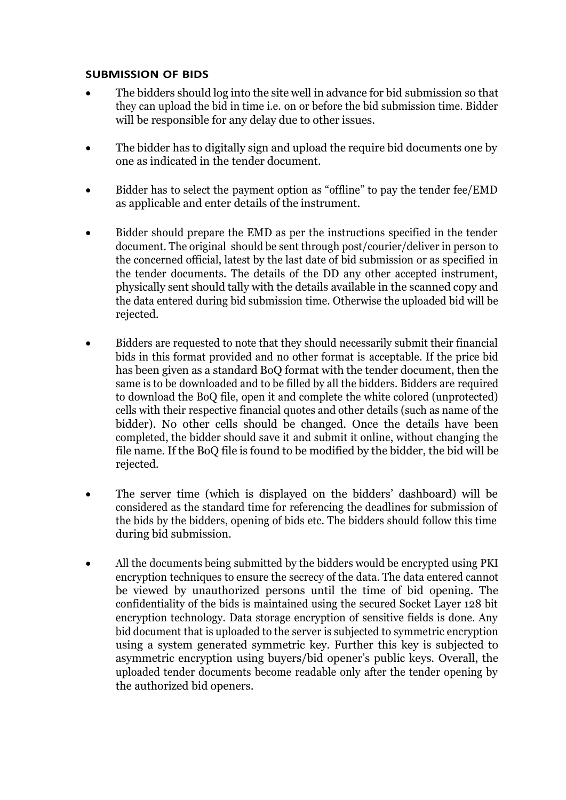#### **SUBMISSION OF BIDS**

- The bidders should log into the site well in advance for bid submission so that they can upload the bid in time i.e. on or before the bid submission time. Bidder will be responsible for any delay due to other issues.
- The bidder has to digitally sign and upload the require bid documents one by one as indicated in the tender document.
- Bidder has to select the payment option as "offline" to pay the tender fee/EMD as applicable and enter details of the instrument.
- Bidder should prepare the EMD as per the instructions specified in the tender document. The original should be sent through post/courier/deliver in person to the concerned official, latest by the last date of bid submission or as specified in the tender documents. The details of the DD any other accepted instrument, physically sent should tally with the details available in the scanned copy and the data entered during bid submission time. Otherwise the uploaded bid will be rejected.
- Bidders are requested to note that they should necessarily submit their financial bids in this format provided and no other format is acceptable. If the price bid has been given as a standard BoQ format with the tender document, then the same is to be downloaded and to be filled by all the bidders. Bidders are required to download the BoQ file, open it and complete the white colored (unprotected) cells with their respective financial quotes and other details (such as name of the bidder). No other cells should be changed. Once the details have been completed, the bidder should save it and submit it online, without changing the file name. If the BoQ file is found to be modified by the bidder, the bid will be rejected.
- The server time (which is displayed on the bidders' dashboard) will be considered as the standard time for referencing the deadlines for submission of the bids by the bidders, opening of bids etc. The bidders should follow this time during bid submission.
- All the documents being submitted by the bidders would be encrypted using PKI encryption techniques to ensure the secrecy of the data. The data entered cannot be viewed by unauthorized persons until the time of bid opening. The confidentiality of the bids is maintained using the secured Socket Layer 128 bit encryption technology. Data storage encryption of sensitive fields is done. Any bid document that is uploaded to the server is subjected to symmetric encryption using a system generated symmetric key. Further this key is subjected to asymmetric encryption using buyers/bid opener's public keys. Overall, the uploaded tender documents become readable only after the tender opening by the authorized bid openers.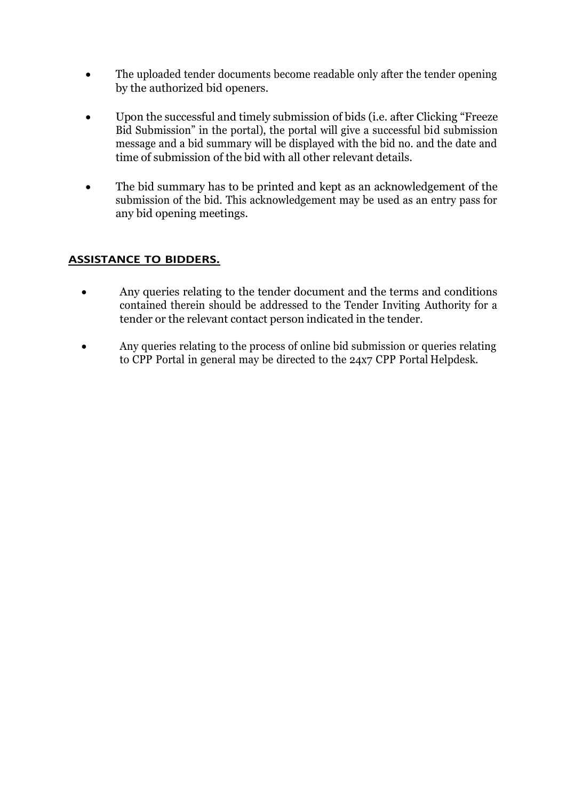- The uploaded tender documents become readable only after the tender opening by the authorized bid openers.
- Upon the successful and timely submission of bids (i.e. after Clicking "Freeze" Bid Submission" in the portal), the portal will give a successful bid submission message and a bid summary will be displayed with the bid no. and the date and time of submission of the bid with all other relevant details.
- The bid summary has to be printed and kept as an acknowledgement of the submission of the bid. This acknowledgement may be used as an entry pass for any bid opening meetings.

## **ASSISTANCE TO BIDDERS.**

- Any queries relating to the tender document and the terms and conditions contained therein should be addressed to the Tender Inviting Authority for a tender or the relevant contact person indicated in the tender.
- Any queries relating to the process of online bid submission or queries relating to CPP Portal in general may be directed to the 24x7 CPP Portal Helpdesk.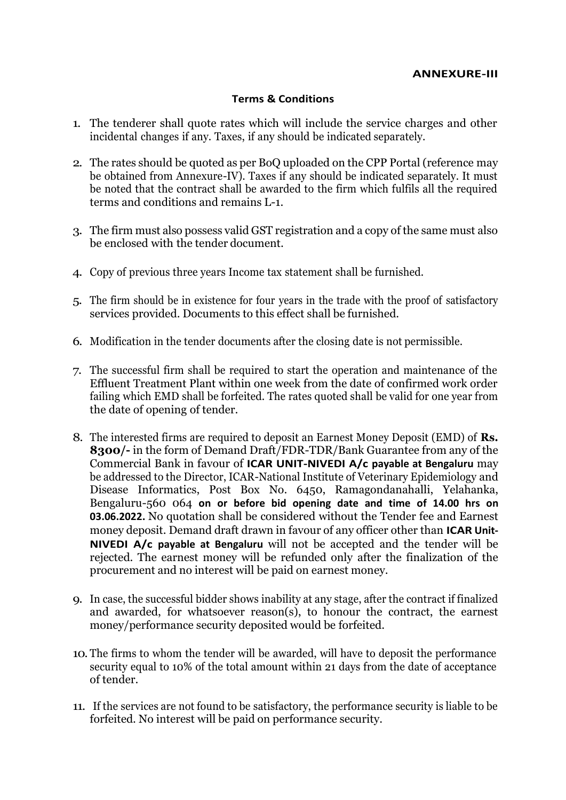#### **Terms & Conditions**

- 1. The tenderer shall quote rates which will include the service charges and other incidental changes if any. Taxes, if any should be indicated separately.
- 2. The rates should be quoted as per BoQ uploaded on the CPP Portal (reference may be obtained from Annexure-IV). Taxes if any should be indicated separately. It must be noted that the contract shall be awarded to the firm which fulfils all the required terms and conditions and remains L-1.
- 3. The firm must also possess valid GST registration and a copy of the same must also be enclosed with the tender document.
- 4. Copy of previous three years Income tax statement shall be furnished.
- 5. The firm should be in existence for four years in the trade with the proof of satisfactory services provided. Documents to this effect shall be furnished.
- 6. Modification in the tender documents after the closing date is not permissible.
- 7. The successful firm shall be required to start the operation and maintenance of the Effluent Treatment Plant within one week from the date of confirmed work order failing which EMD shall be forfeited. The rates quoted shall be valid for one year from the date of opening of tender.
- 8. The interested firms are required to deposit an Earnest Money Deposit (EMD) of **Rs. 8300/-** in the form of Demand Draft/FDR-TDR/Bank Guarantee from any of the Commercial Bank in favour of **ICAR UNIT-NIVEDI A/c payable at Bengaluru** may be addressed to the Director, ICAR-National Institute of Veterinary Epidemiology and Disease Informatics, Post Box No. 6450, Ramagondanahalli, Yelahanka, Bengaluru-560 064 **on or before bid opening date and time of 14.00 hrs on 03.06.2022.** No quotation shall be considered without the Tender fee and Earnest money deposit. Demand draft drawn in favour of any officer other than **ICAR Unit-NIVEDI A/c payable at Bengaluru** will not be accepted and the tender will be rejected. The earnest money will be refunded only after the finalization of the procurement and no interest will be paid on earnest money.
- 9. In case, the successful bidder shows inability at any stage, after the contract if finalized and awarded, for whatsoever reason(s), to honour the contract, the earnest money/performance security deposited would be forfeited.
- 10. The firms to whom the tender will be awarded, will have to deposit the performance security equal to 10% of the total amount within 21 days from the date of acceptance of tender.
- 11. If the services are not found to be satisfactory, the performance security is liable to be forfeited. No interest will be paid on performance security.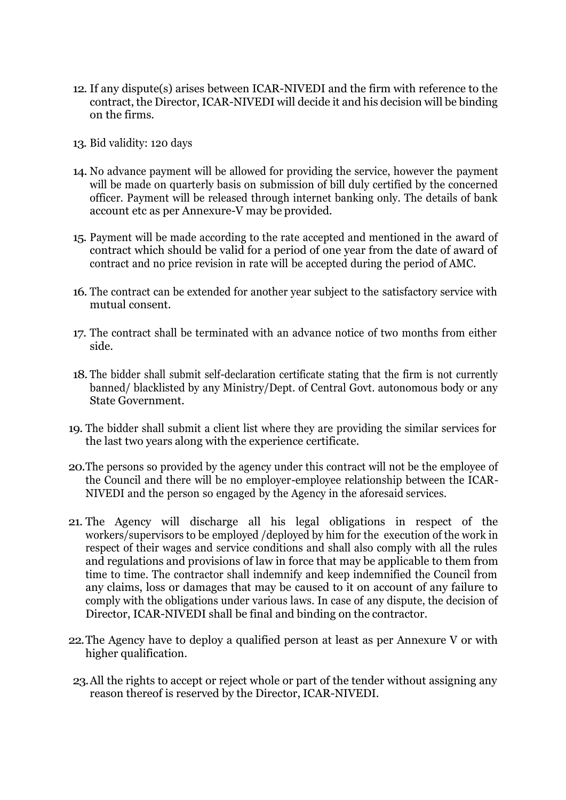- 12. If any dispute(s) arises between ICAR-NIVEDI and the firm with reference to the contract, the Director, ICAR-NIVEDI will decide it and his decision will be binding on the firms.
- 13. Bid validity: 120 days
- 14. No advance payment will be allowed for providing the service, however the payment will be made on quarterly basis on submission of bill duly certified by the concerned officer. Payment will be released through internet banking only. The details of bank account etc as per Annexure-V may be provided.
- 15. Payment will be made according to the rate accepted and mentioned in the award of contract which should be valid for a period of one year from the date of award of contract and no price revision in rate will be accepted during the period of AMC.
- 16. The contract can be extended for another year subject to the satisfactory service with mutual consent.
- 17. The contract shall be terminated with an advance notice of two months from either side.
- 18. The bidder shall submit self-declaration certificate stating that the firm is not currently banned/ blacklisted by any Ministry/Dept. of Central Govt. autonomous body or any State Government.
- 19. The bidder shall submit a client list where they are providing the similar services for the last two years along with the experience certificate.
- 20.The persons so provided by the agency under this contract will not be the employee of the Council and there will be no employer-employee relationship between the ICAR-NIVEDI and the person so engaged by the Agency in the aforesaid services.
- 21. The Agency will discharge all his legal obligations in respect of the workers/supervisors to be employed /deployed by him for the execution of the work in respect of their wages and service conditions and shall also comply with all the rules and regulations and provisions of law in force that may be applicable to them from time to time. The contractor shall indemnify and keep indemnified the Council from any claims, loss or damages that may be caused to it on account of any failure to comply with the obligations under various laws. In case of any dispute, the decision of Director, ICAR-NIVEDI shall be final and binding on the contractor.
- 22.The Agency have to deploy a qualified person at least as per Annexure V or with higher qualification.
- 23.All the rights to accept or reject whole or part of the tender without assigning any reason thereof is reserved by the Director, ICAR-NIVEDI.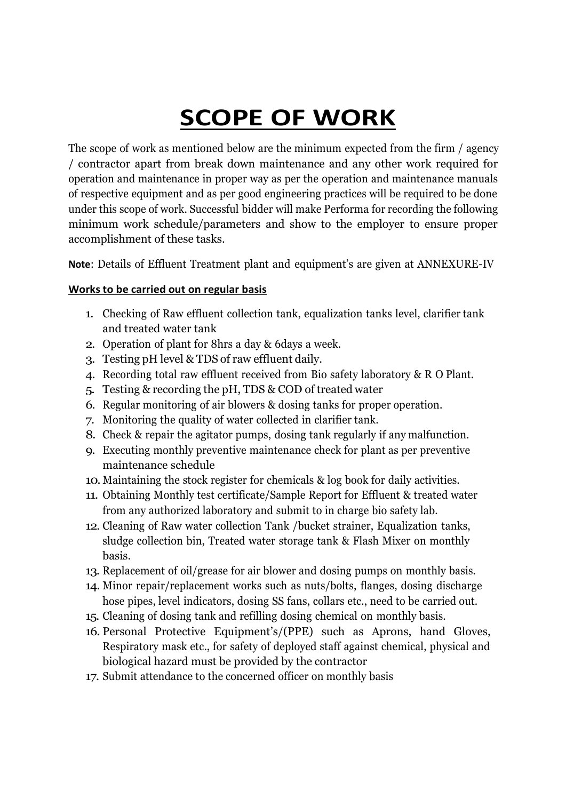# **SCOPE OF WORK**

The scope of work as mentioned below are the minimum expected from the firm / agency / contractor apart from break down maintenance and any other work required for operation and maintenance in proper way as per the operation and maintenance manuals of respective equipment and as per good engineering practices will be required to be done under this scope of work. Successful bidder will make Performa for recording the following minimum work schedule/parameters and show to the employer to ensure proper accomplishment of these tasks.

**Note**: Details of Effluent Treatment plant and equipment's are given at ANNEXURE-IV

## **Works to be carried out on regular basis**

- 1. Checking of Raw effluent collection tank, equalization tanks level, clarifier tank and treated water tank
- 2. Operation of plant for 8hrs a day & 6days a week.
- 3. Testing pH level & TDS of raw effluent daily.
- 4. Recording total raw effluent received from Bio safety laboratory & R O Plant.
- 5. Testing & recording the pH, TDS & COD of treated water
- 6. Regular monitoring of air blowers & dosing tanks for proper operation.
- 7. Monitoring the quality of water collected in clarifier tank.
- 8. Check & repair the agitator pumps, dosing tank regularly if any malfunction.
- 9. Executing monthly preventive maintenance check for plant as per preventive maintenance schedule
- 10. Maintaining the stock register for chemicals & log book for daily activities.
- 11. Obtaining Monthly test certificate/Sample Report for Effluent & treated water from any authorized laboratory and submit to in charge bio safety lab.
- 12. Cleaning of Raw water collection Tank /bucket strainer, Equalization tanks, sludge collection bin, Treated water storage tank & Flash Mixer on monthly basis.
- 13. Replacement of oil/grease for air blower and dosing pumps on monthly basis.
- 14. Minor repair/replacement works such as nuts/bolts, flanges, dosing discharge hose pipes, level indicators, dosing SS fans, collars etc., need to be carried out.
- 15. Cleaning of dosing tank and refilling dosing chemical on monthly basis.
- 16. Personal Protective Equipment's/(PPE) such as Aprons, hand Gloves, Respiratory mask etc., for safety of deployed staff against chemical, physical and biological hazard must be provided by the contractor
- 17. Submit attendance to the concerned officer on monthly basis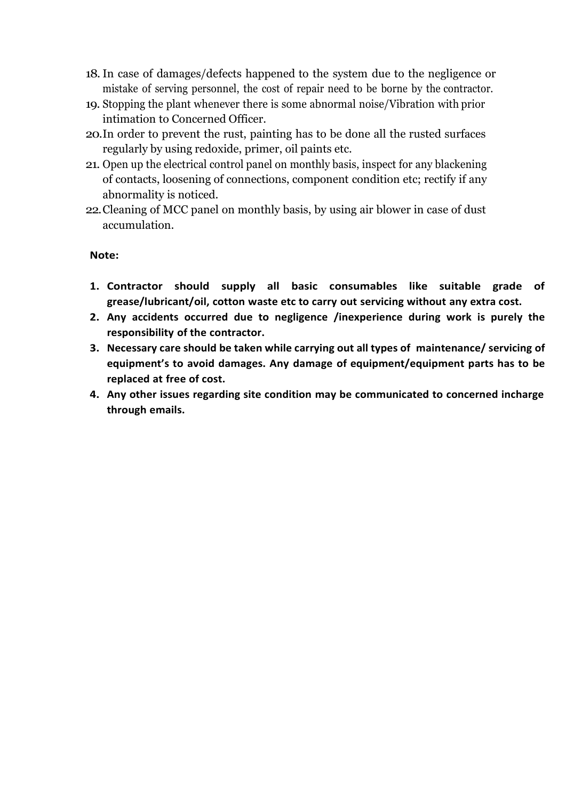- 18.In case of damages/defects happened to the system due to the negligence or mistake of serving personnel, the cost of repair need to be borne by the contractor.
- 19. Stopping the plant whenever there is some abnormal noise/Vibration with prior intimation to Concerned Officer.
- 20.In order to prevent the rust, painting has to be done all the rusted surfaces regularly by using redoxide, primer, oil paints etc.
- 21. Open up the electrical control panel on monthly basis, inspect for any blackening of contacts, loosening of connections, component condition etc; rectify if any abnormality is noticed.
- 22.Cleaning of MCC panel on monthly basis, by using air blower in case of dust accumulation.

#### **Note:**

- **1. Contractor should supply all basic consumables like suitable grade of grease/lubricant/oil, cotton waste etc to carry out servicing without any extra cost.**
- **2. Any accidents occurred due to negligence /inexperience during work is purely the responsibility of the contractor.**
- **3. Necessary care should be taken while carrying out all types of maintenance/ servicing of equipment's to avoid damages. Any damage of equipment/equipment parts has to be replaced at free of cost.**
- **4. Any other issues regarding site condition may be communicated to concerned incharge through emails.**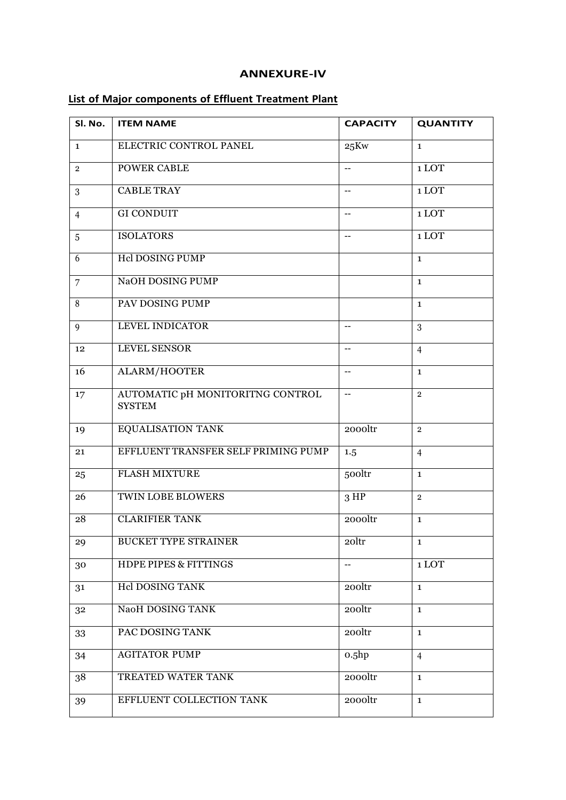#### **ANNEXURE-IV**

### **List of Major components of Effluent Treatment Plant**

| Sl. No.        | <b>ITEM NAME</b>                                  | <b>CAPACITY</b>          | <b>QUANTITY</b> |
|----------------|---------------------------------------------------|--------------------------|-----------------|
| $\mathbf{1}$   | ELECTRIC CONTROL PANEL                            | 25Kw                     | $\mathbf{1}$    |
| $\overline{2}$ | <b>POWER CABLE</b>                                | --                       | 1 LOT           |
| 3              | <b>CABLE TRAY</b>                                 | $-$                      | 1 LOT           |
| $\overline{4}$ | <b>GI CONDUIT</b>                                 | $-$                      | 1 LOT           |
| 5              | <b>ISOLATORS</b>                                  | $\overline{\phantom{a}}$ | 1 LOT           |
| 6              | <b>Hcl DOSING PUMP</b>                            |                          | $\mathbf{1}$    |
| $\overline{7}$ | NaOH DOSING PUMP                                  |                          | $\mathbf{1}$    |
| 8              | PAV DOSING PUMP                                   |                          | $\mathbf{1}$    |
| 9              | LEVEL INDICATOR                                   | --                       | 3               |
| 12             | <b>LEVEL SENSOR</b>                               | --                       | $\overline{4}$  |
| 16             | <b>ALARM/HOOTER</b>                               | --                       | $\mathbf{1}$    |
| 17             | AUTOMATIC pH MONITORITNG CONTROL<br><b>SYSTEM</b> | $- -$                    | $\overline{2}$  |
| 19             | <b>EQUALISATION TANK</b>                          | 2000ltr                  | $\overline{2}$  |
| 21             | EFFLUENT TRANSFER SELF PRIMING PUMP               | 1.5                      | $\overline{4}$  |
| 25             | <b>FLASH MIXTURE</b>                              | 500ltr                   | $\mathbf{1}$    |
| 26             | <b>TWIN LOBE BLOWERS</b>                          | 3 HP                     | $\overline{2}$  |
| 28             | <b>CLARIFIER TANK</b>                             | 2000ltr                  | $\mathbf{1}$    |
| 29             | <b>BUCKET TYPE STRAINER</b>                       | 20ltr                    | 1               |
| 30             | <b>HDPE PIPES &amp; FITTINGS</b>                  | --                       | 1 LOT           |
| 31             | Hel DOSING TANK                                   | 200ltr                   | $\mathbf{1}$    |
| 32             | NaoH DOSING TANK                                  | 200ltr                   | $\mathbf{1}$    |
| 33             | PAC DOSING TANK                                   | 200ltr                   | $\mathbf{1}$    |
| 34             | <b>AGITATOR PUMP</b>                              | 0.5hp                    | $\overline{4}$  |
| 38             | TREATED WATER TANK                                | 2000ltr                  | $\mathbf{1}$    |
| 39             | EFFLUENT COLLECTION TANK                          | 2000ltr                  | $\mathbf{1}$    |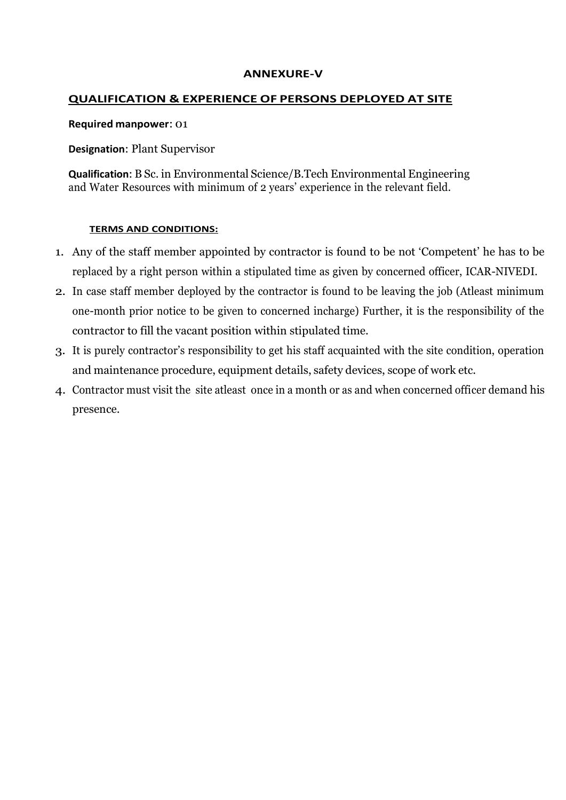#### **ANNEXURE-V**

### **QUALIFICATION & EXPERIENCE OF PERSONS DEPLOYED AT SITE**

#### **Required manpower**: 01

**Designation**: Plant Supervisor

**Qualification**: B Sc. in Environmental Science/B.Tech Environmental Engineering and Water Resources with minimum of 2 years' experience in the relevant field.

#### **TERMS AND CONDITIONS:**

- 1. Any of the staff member appointed by contractor is found to be not 'Competent' he has to be replaced by a right person within a stipulated time as given by concerned officer, ICAR-NIVEDI.
- 2. In case staff member deployed by the contractor is found to be leaving the job (Atleast minimum one-month prior notice to be given to concerned incharge) Further, it is the responsibility of the contractor to fill the vacant position within stipulated time.
- 3. It is purely contractor's responsibility to get his staff acquainted with the site condition, operation and maintenance procedure, equipment details, safety devices, scope of work etc.
- 4. Contractor must visit the site atleast once in a month or as and when concerned officer demand his presence.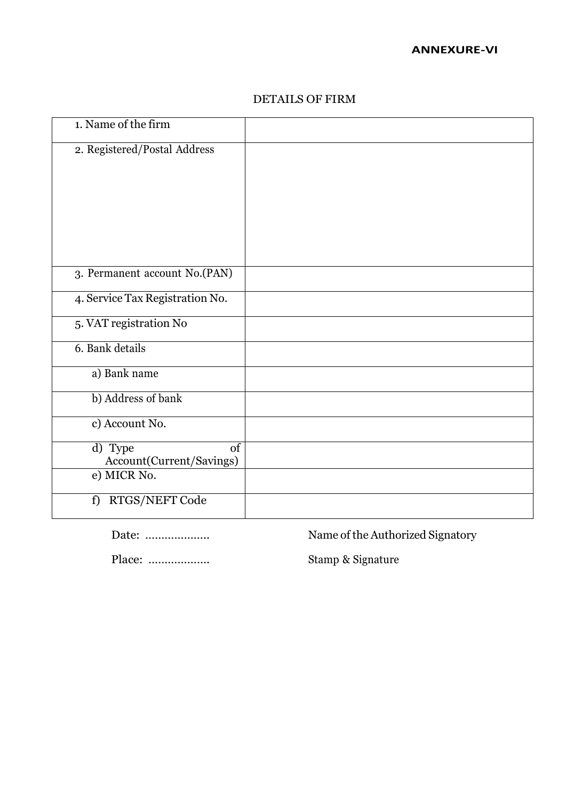| 1. Name of the firm                       |  |
|-------------------------------------------|--|
| 2. Registered/Postal Address              |  |
|                                           |  |
|                                           |  |
|                                           |  |
|                                           |  |
| 3. Permanent account No.(PAN)             |  |
| 4. Service Tax Registration No.           |  |
| 5. VAT registration No                    |  |
| 6. Bank details                           |  |
| a) Bank name                              |  |
| b) Address of bank                        |  |
| c) Account No.                            |  |
| of<br>d) Type<br>Account(Current/Savings) |  |
| e) MICR No.                               |  |
| f) RTGS/NEFT Code                         |  |

#### DETAILS OF FIRM

Date: ……………….. Name of the Authorized Signatory

Place: ………………. Stamp & Signature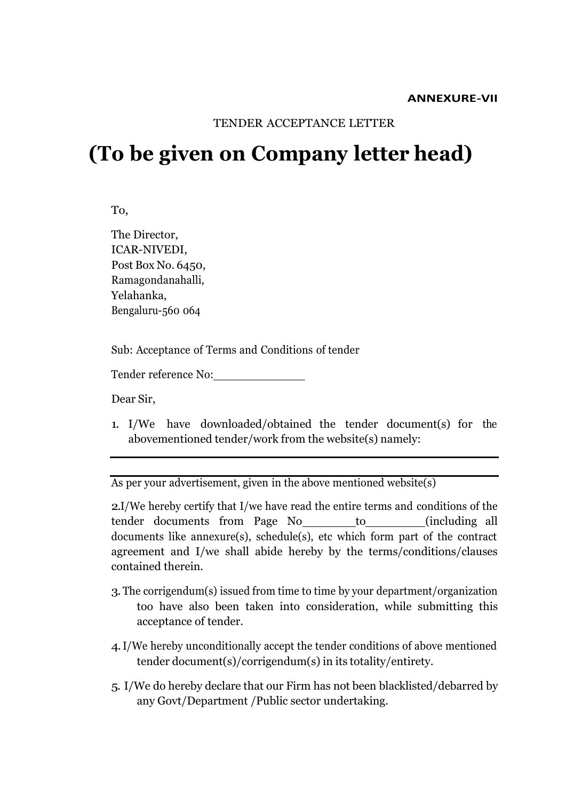#### **ANNEXURE-VII**

#### TENDER ACCEPTANCE LETTER

## **(To be given on Company letter head)**

To,

The Director, ICAR-NIVEDI, Post Box No. 6450, Ramagondanahalli, Yelahanka, Bengaluru-560 064

Sub: Acceptance of Terms and Conditions of tender

Tender reference No:

Dear Sir,

1. I/We have downloaded/obtained the tender document(s) for the abovementioned tender/work from the website(s) namely:

As per your advertisement, given in the above mentioned website(s)

2.I/We hereby certify that I/we have read the entire terms and conditions of the tender documents from Page No to to (including all documents like annexure(s), schedule(s), etc which form part of the contract agreement and I/we shall abide hereby by the terms/conditions/clauses contained therein.

- 3.The corrigendum(s) issued from time to time by your department/organization too have also been taken into consideration, while submitting this acceptance of tender.
- 4.I/We hereby unconditionally accept the tender conditions of above mentioned tender document(s)/corrigendum(s) in its totality/entirety.
- 5. I/We do hereby declare that our Firm has not been blacklisted/debarred by any Govt/Department /Public sector undertaking.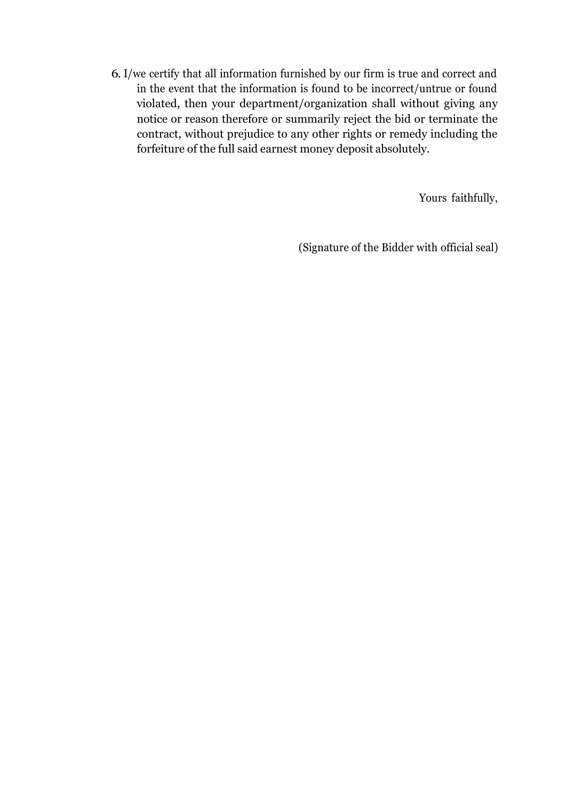6. I/we certify that all information furnished by our firm is true and correct and in the event that the information is found to be incorrect/untrue or found violated, then your department/organization shall without giving any notice or reason therefore or summarily reject the bid or terminate the contract, without prejudice to any other rights or remedy including the forfeiture of the full said earnest money deposit absolutely.

Yours faithfully,

(Signature of the Bidder with official seal)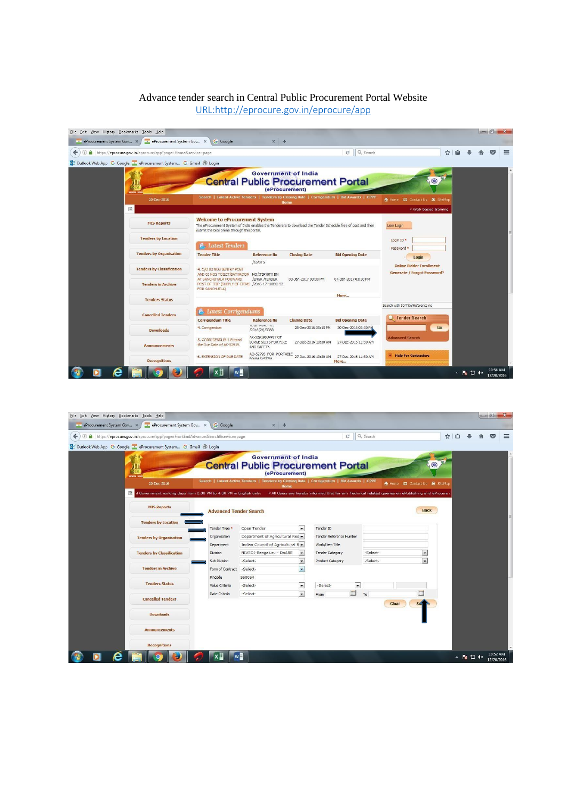#### Advance tender search in Central Public Procurement Portal Website [URL:http://eprocure.gov.in/eprocure/app](http://eprocure.gov.in/eprocure/app)



| 1 https://eprocure.qov.in/eprocure/app?page=FrontEndAdvancedSearch&service=page |                                                                       |                               |                                                                                                    |                          | $C^i$                                                                                              | Q Search |                                | ✿ | ≘ |  |
|---------------------------------------------------------------------------------|-----------------------------------------------------------------------|-------------------------------|----------------------------------------------------------------------------------------------------|--------------------------|----------------------------------------------------------------------------------------------------|----------|--------------------------------|---|---|--|
|                                                                                 | 03 Outlook Web App G Google : eProcurement System G Gmail @ Login     |                               |                                                                                                    |                          |                                                                                                    |          |                                |   |   |  |
|                                                                                 |                                                                       |                               | <b>Government of India</b><br><b>Central Public Procurement Portal</b><br>(eProcurement)           |                          |                                                                                                    |          |                                |   |   |  |
|                                                                                 | 20-Dec-2016                                                           |                               | Search   Latest Active Tenders   Tenders by Closing Date   Corrigendum   Bid Awards   CPPP<br>Home |                          |                                                                                                    |          | 合 Home (図 Contact Us 晶 SiteMap |   |   |  |
|                                                                                 | 目<br>Government working days from 2.30 PM to 4.30 PM in English only. |                               |                                                                                                    |                          | « All Users are hereby informed that for any Technical related queries on ePublishing and eProcure |          |                                |   |   |  |
|                                                                                 | <b>MIS Reports</b>                                                    | <b>Advanced Tender Search</b> |                                                                                                    |                          |                                                                                                    |          | <b>Back</b>                    |   |   |  |
|                                                                                 | <b>Tenders by Location</b>                                            |                               |                                                                                                    |                          |                                                                                                    |          |                                |   |   |  |
|                                                                                 |                                                                       | Tender Type *                 | Open Tender                                                                                        | $\vert \cdot \vert$      | Tender ID                                                                                          |          |                                |   |   |  |
|                                                                                 | <b>Tenders by Organisation</b>                                        | Organisation                  | Department of Agricultural Res                                                                     |                          | Tender Reference Number                                                                            |          |                                |   |   |  |
|                                                                                 |                                                                       | Department                    | Indian Council of Agricultural R +                                                                 |                          | Work/Item Title                                                                                    |          |                                |   |   |  |
|                                                                                 | <b>Tenders by Classification</b>                                      | <b>Division</b>               | NIVEDI-Bengaluru - DoARE                                                                           | $\sim$                   | <b>Tender Category</b>                                                                             | -Select- | $\overline{\phantom{a}}$       |   |   |  |
|                                                                                 |                                                                       | Sub Division                  | -Select-                                                                                           | $\overline{\phantom{a}}$ | <b>Product Category</b>                                                                            | -Select- | $\vert \cdot \vert$            |   |   |  |
|                                                                                 | <b>Tenders in Archive</b>                                             | Form of Contract              | -Select-                                                                                           | $\blacksquare$           |                                                                                                    |          |                                |   |   |  |
|                                                                                 |                                                                       | Pincode                       | 560064                                                                                             |                          |                                                                                                    |          |                                |   |   |  |
|                                                                                 | <b>Tenders Status</b>                                                 | Value Criteria                | -Select-                                                                                           | $\overline{\phantom{a}}$ | $\vert$ $\vert$<br>-Select-                                                                        |          |                                |   |   |  |
|                                                                                 | <b>Cancelled Tenders</b>                                              | Date Criteria                 | -Select-                                                                                           | $\vert \cdot \vert$      | $\Box$<br>From                                                                                     | To       |                                |   |   |  |
|                                                                                 |                                                                       |                               |                                                                                                    |                          |                                                                                                    |          | Clear                          |   |   |  |
|                                                                                 | <b>Downloads</b>                                                      |                               |                                                                                                    |                          |                                                                                                    |          |                                |   |   |  |
|                                                                                 | <b>Announcements</b>                                                  |                               |                                                                                                    |                          |                                                                                                    |          |                                |   |   |  |
|                                                                                 |                                                                       |                               |                                                                                                    |                          |                                                                                                    |          |                                |   |   |  |